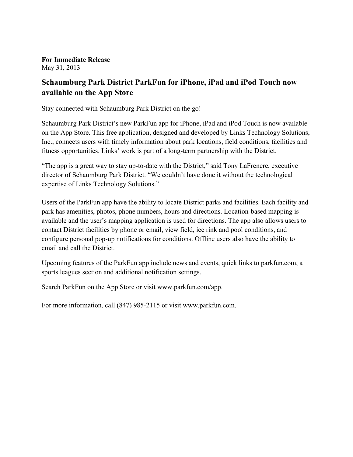**For Immediate Release** May 31, 2013

## **Schaumburg Park District ParkFun for iPhone, iPad and iPod Touch now available on the App Store**

Stay connected with Schaumburg Park District on the go!

Schaumburg Park District's new ParkFun app for iPhone, iPad and iPod Touch is now available on the App Store. This free application, designed and developed by Links Technology Solutions, Inc., connects users with timely information about park locations, field conditions, facilities and fitness opportunities. Links' work is part of a long-term partnership with the District.

"The app is a great way to stay up-to-date with the District," said Tony LaFrenere, executive director of Schaumburg Park District. "We couldn't have done it without the technological expertise of Links Technology Solutions."

Users of the ParkFun app have the ability to locate District parks and facilities. Each facility and park has amenities, photos, phone numbers, hours and directions. Location-based mapping is available and the user's mapping application is used for directions. The app also allows users to contact District facilities by phone or email, view field, ice rink and pool conditions, and configure personal pop-up notifications for conditions. Offline users also have the ability to email and call the District.

Upcoming features of the ParkFun app include news and events, quick links to parkfun.com, a sports leagues section and additional notification settings.

Search ParkFun on the App Store or visit www.parkfun.com/app.

For more information, call (847) 985-2115 or visit www.parkfun.com.